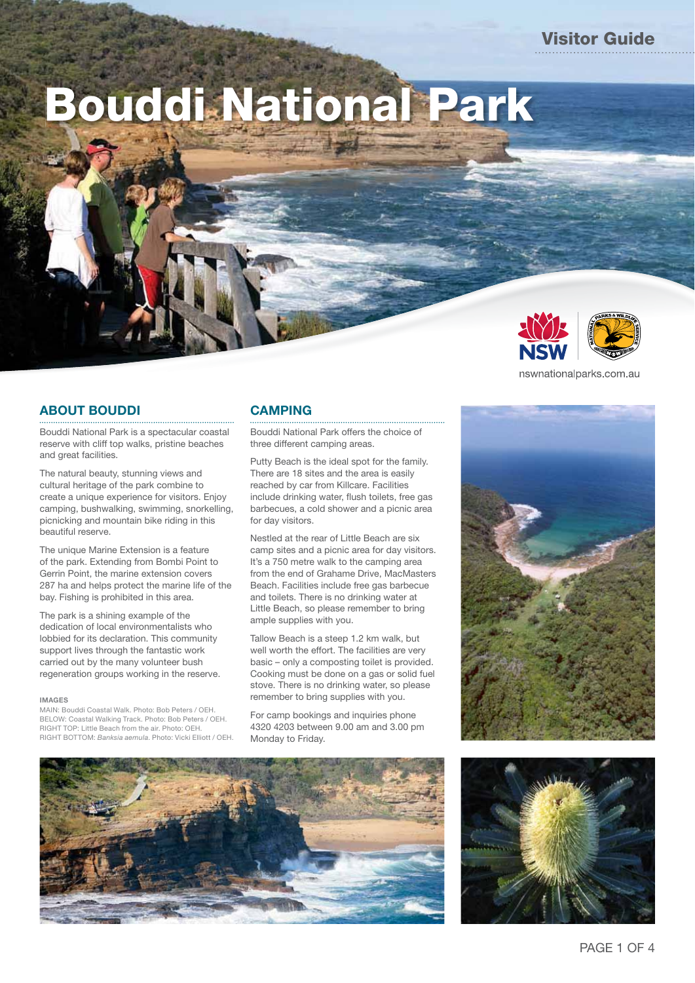NPWS VISITOR GUIDE: Bouddi National Park Bouddi National Park

# **ABOUT BOUDDI**

Bouddi National Park is a spectacular coastal reserve with cliff top walks, pristine beaches and great facilities.

The natural beauty, stunning views and cultural heritage of the park combine to create a unique experience for visitors. Enjoy camping, bushwalking, swimming, snorkelling, picnicking and mountain bike riding in this beautiful reserve.

The unique Marine Extension is a feature of the park. Extending from Bombi Point to Gerrin Point, the marine extension covers 287 ha and helps protect the marine life of the bay. Fishing is prohibited in this area.

The park is a shining example of the dedication of local environmentalists who lobbied for its declaration. This community support lives through the fantastic work carried out by the many volunteer bush regeneration groups working in the reserve.

#### **IMAGes**

MAIN: Bouddi Coastal Walk. Photo: Bob Peters / OEH. BELOW: Coastal Walking Track. Photo: Bob Peters / OEH. RIGHT TOP: Little Beach from the air. Photo: OEH. RIGHT BOTTOM: *Banksia aemula*. Photo: Vicki Elliott / OEH.

## **CAMPING**

Bouddi National Park offers the choice of three different camping areas.

Putty Beach is the ideal spot for the family. There are 18 sites and the area is easily reached by car from Killcare. Facilities include drinking water, flush toilets, free gas barbecues, a cold shower and a picnic area for day visitors.

Nestled at the rear of Little Beach are six camp sites and a picnic area for day visitors. It's a 750 metre walk to the camping area from the end of Grahame Drive, MacMasters Beach. Facilities include free gas barbecue and toilets. There is no drinking water at Little Beach, so please remember to bring ample supplies with you.

Tallow Beach is a steep 1.2 km walk, but well worth the effort. The facilities are very basic – only a composting toilet is provided. Cooking must be done on a gas or solid fuel stove. There is no drinking water, so please remember to bring supplies with you.

For camp bookings and inquiries phone 4320 4203 between 9.00 am and 3.00 pm Monday to Friday.



nswnationalparks.com.au

Visitor Guide



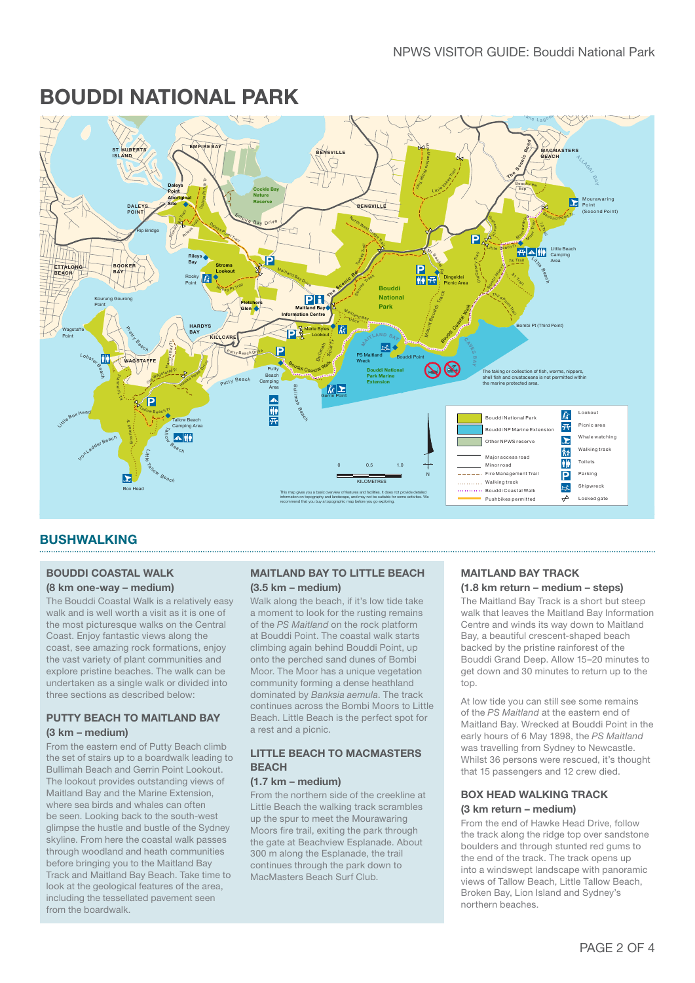# **Rileys Island Nature Reserve WOY WOY BOUDDI NATIONAL PARk**



# **BUsHWALkING**

#### **BOUDDI COAsTAL WALk (8 km one-way – medium)**

The Bouddi Coastal Walk is a relatively easy walk and is well worth a visit as it is one of the most picturesque walks on the Central Coast. Enjoy fantastic views along the coast, see amazing rock formations, enjoy the vast variety of plant communities and explore pristine beaches. The walk can be undertaken as a single walk or divided into three sections as described below:

#### **PUTTY BeACH TO MAITLAND BAY (3 km – medium)**

From the eastern end of Putty Beach climb the set of stairs up to a boardwalk leading to Bullimah Beach and Gerrin Point Lookout. The lookout provides outstanding views of Maitland Bay and the Marine Extension, where sea birds and whales can often be seen. Looking back to the south-west glimpse the hustle and bustle of the Sydney skyline. From here the coastal walk passes through woodland and heath communities before bringing you to the Maitland Bay Track and Maitland Bay Beach. Take time to look at the geological features of the area, including the tessellated pavement seen from the boardwalk.

#### **MAITLAND BAY TO LITTLe BeACH (3.5 km – medium)**

Walk along the beach, if it's low tide take a moment to look for the rusting remains of the *PS Maitland* on the rock platform at Bouddi Point. The coastal walk starts climbing again behind Bouddi Point, up onto the perched sand dunes of Bombi Moor. The Moor has a unique vegetation community forming a dense heathland dominated by *Banksia aemula*. The track continues across the Bombi Moors to Little Beach. Little Beach is the perfect spot for a rest and a picnic.

### **LITTLe BeACH TO MACMAsTeRs BeACH**

#### **(1.7 km – medium)**

From the northern side of the creekline at Little Beach the walking track scrambles up the spur to meet the Mourawaring Moors fire trail, exiting the park through the gate at Beachview Esplanade. About 300 m along the Esplanade, the trail continues through the park down to MacMasters Beach Surf Club.

#### **MAITLAND BAY TRACk (1.8 km return – medium – steps)**

The Maitland Bay Track is a short but steep walk that leaves the Maitland Bay Information Centre and winds its way down to Maitland Bay, a beautiful crescent-shaped beach backed by the pristine rainforest of the Bouddi Grand Deep. Allow 15–20 minutes to get down and 30 minutes to return up to the top.

At low tide you can still see some remains of the *PS Maitland* at the eastern end of Maitland Bay. Wrecked at Bouddi Point in the early hours of 6 May 1898, the *PS Maitland* was travelling from Sydney to Newcastle. Whilst 36 persons were rescued, it's thought that 15 passengers and 12 crew died.

### **BOX HeAD WALkING TRACk (3 km return – medium)**

From the end of Hawke Head Drive, follow the track along the ridge top over sandstone boulders and through stunted red gums to the end of the track. The track opens up into a windswept landscape with panoramic views of Tallow Beach, Little Tallow Beach, Broken Bay, Lion Island and Sydney's northern beaches.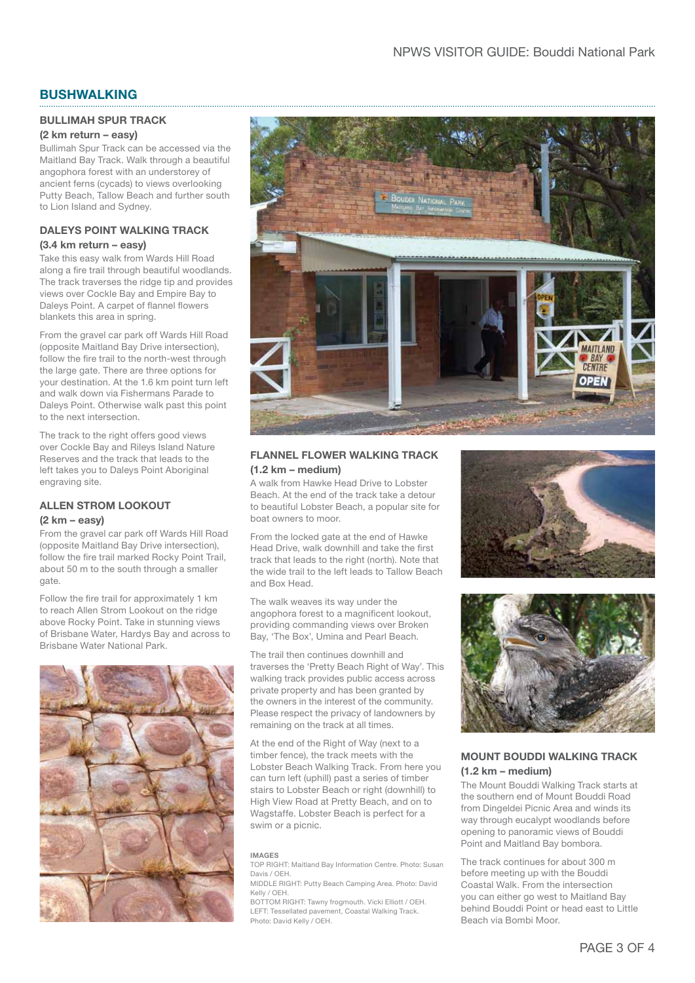# **BUSHWALKING**

#### **BULLIMAH SPUR TRACK**

#### **(2 km return – easy)**

Bullimah Spur Track can be accessed via the Maitland Bay Track. Walk through a beautiful angophora forest with an understorey of ancient ferns (cycads) to views overlooking Putty Beach, Tallow Beach and further south to Lion Island and Sydney.

#### **DALEYS POINT WALKING TRACK (3.4 km return – easy)**

Take this easy walk from Wards Hill Road along a fire trail through beautiful woodlands. The track traverses the ridge tip and provides views over Cockle Bay and Empire Bay to Daleys Point. A carpet of flannel flowers blankets this area in spring.

From the gravel car park off Wards Hill Road (opposite Maitland Bay Drive intersection), follow the fire trail to the north-west through the large gate. There are three options for your destination. At the 1.6 km point turn left and walk down via Fishermans Parade to Daleys Point. Otherwise walk past this point to the next intersection.

The track to the right offers good views over Cockle Bay and Rileys Island Nature Reserves and the track that leads to the left takes you to Daleys Point Aboriginal engraving site.

# **ALLEN STROM LOOKOUT**

#### **(2 km – easy)**

From the gravel car park off Wards Hill Road (opposite Maitland Bay Drive intersection), follow the fire trail marked Rocky Point Trail, about 50 m to the south through a smaller gate.

Follow the fire trail for approximately 1 km to reach Allen Strom Lookout on the ridge above Rocky Point. Take in stunning views of Brisbane Water, Hardys Bay and across to Brisbane Water National Park.





### **FLANNEL FLOWER WALKING TRACK (1.2 km – medium)**

A walk from Hawke Head Drive to Lobster Beach. At the end of the track take a detour to beautiful Lobster Beach, a popular site for boat owners to moor.

From the locked gate at the end of Hawke Head Drive, walk downhill and take the first track that leads to the right (north). Note that the wide trail to the left leads to Tallow Beach and Box Head.

The walk weaves its way under the angophora forest to a magnificent lookout, providing commanding views over Broken Bay, 'The Box', Umina and Pearl Beach.

The trail then continues downhill and traverses the 'Pretty Beach Right of Way'. This walking track provides public access across private property and has been granted by the owners in the interest of the community. Please respect the privacy of landowners by remaining on the track at all times.

At the end of the Right of Way (next to a timber fence), the track meets with the Lobster Beach Walking Track. From here you can turn left (uphill) past a series of timber stairs to Lobster Beach or right (downhill) to High View Road at Pretty Beach, and on to Wagstaffe. Lobster Beach is perfect for a swim or a picnic.

#### **Imag es**

TOP RIGHT: Maitland Bay Information Centre. Photo: Susan Davis / OEH. MIDDLE RIGHT: Putty Beach Camping Area. Photo: David

Kelly / OEH. BOTTOM RIGHT: Tawny frogmouth. Vicki Elliott / OEH. LEFT: Tessellated pavement, Coastal Walking Track. Photo: David Kelly / OEH.





## **MOUNT BOUDDI WALKING TRACK (1.2 km – medium)**

The Mount Bouddi Walking Track starts at the southern end of Mount Bouddi Road from Dingeldei Picnic Area and winds its way through eucalypt woodlands before opening to panoramic views of Bouddi Point and Maitland Bay bombora.

The track continues for about 300 m before meeting up with the Bouddi Coastal Walk. From the intersection you can either go west to Maitland Bay behind Bouddi Point or head east to Little Beach via Bombi Moor.